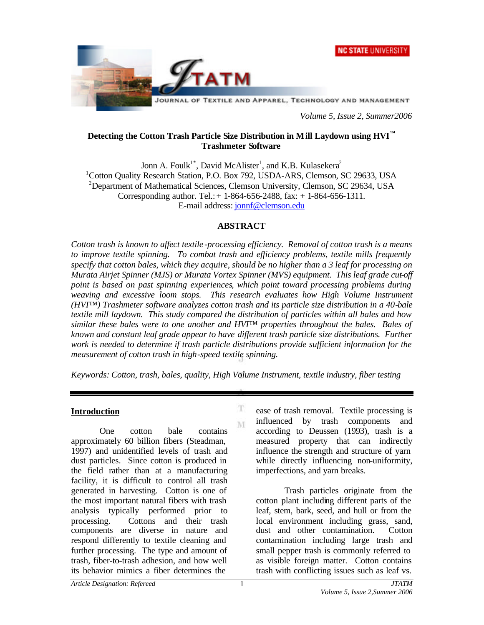



*Volume 5, Issue 2, Summer2006*

### **Detecting the Cotton Trash Particle Size Distribution in Mill Laydown using HVI™ Trashmeter Software**

Jonn A. Foulk<sup>1\*</sup>, David McAlister<sup>1</sup>, and K.B. Kulasekera<sup>2</sup> <sup>1</sup>Cotton Quality Research Station, P.O. Box 792, USDA-ARS, Clemson, SC 29633, USA <sup>2</sup>Department of Mathematical Sciences, Clemson University, Clemson, SC 29634, USA Corresponding author. Tel.: + 1-864-656-2488, fax: + 1-864-656-1311. E-mail address: jonnf@clemson.edu

### **ABSTRACT**

*Cotton trash is known to affect textile -processing efficiency. Removal of cotton trash is a means to improve textile spinning. To combat trash and efficiency problems, textile mills frequently specify that cotton bales, which they acquire, should be no higher than a 3 leaf for processing on Murata Airjet Spinner (MJS) or Murata Vortex Spinner (MVS) equipment. This leaf grade cut-off point is based on past spinning experiences, which point toward processing problems during weaving and excessive loom stops. This research evaluates how High Volume Instrument (HVI™) Trashmeter software analyzes cotton trash and its particle size distribution in a 40-bale textile mill laydown. This study compared the distribution of particles within all bales and how similar these bales were to one another and HVI™ properties throughout the bales. Bales of known and constant leaf grade appear to have different trash particle size distributions. Further work is needed to determine if trash particle distributions provide sufficient information for the measurement of cotton trash in high-speed textile spinning.*

*Keywords: Cotton, trash, bales, quality, High Volume Instrument, textile industry, fiber testing*

T M

#### **Introduction**

One cotton bale contains approximately 60 billion fibers (Steadman, 1997) and unidentified levels of trash and dust particles. Since cotton is produced in the field rather than at a manufacturing facility, it is difficult to control all trash generated in harvesting. Cotton is one of the most important natural fibers with trash analysis typically performed prior to processing. Cottons and their trash components are diverse in nature and respond differently to textile cleaning and further processing. The type and amount of trash, fiber-to-trash adhesion, and how well its behavior mimics a fiber determines the

ease of trash removal. Textile processing is influenced by trash components and according to Deussen (1993), trash is a measured property that can indirectly influence the strength and structure of yarn while directly influencing non-uniformity, imperfections, and yarn breaks.

Trash particles originate from the cotton plant including different parts of the leaf, stem, bark, seed, and hull or from the local environment including grass, sand, dust and other contamination. Cotton contamination including large trash and small pepper trash is commonly referred to as visible foreign matter. Cotton contains trash with conflicting issues such as leaf vs.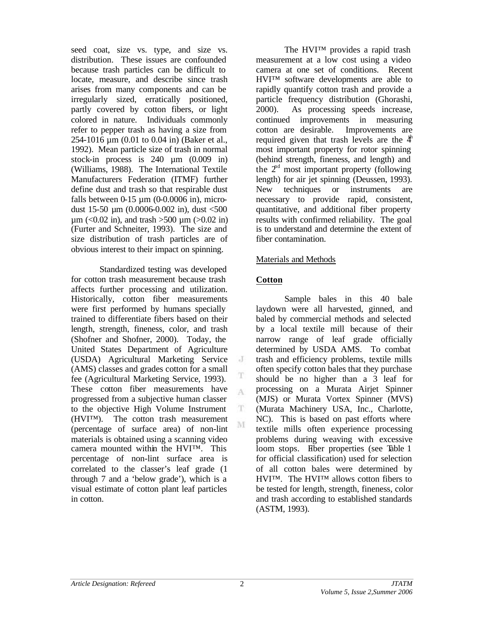seed coat, size vs. type, and size vs. distribution. These issues are confounded because trash particles can be difficult to locate, measure, and describe since trash arises from many components and can be irregularly sized, erratically positioned, partly covered by cotton fibers, or light colored in nature. Individuals commonly refer to pepper trash as having a size from 254-1016 µm (0.01 to 0.04 in) (Baker et al., 1992). Mean particle size of trash in normal stock-in process is 240 µm (0.009 in) (Williams, 1988). The International Textile Manufacturers Federation (ITMF) further define dust and trash so that respirable dust falls between  $0-15 \mu m$  (0-0.0006 in), microdust 15-50  $\mu$ m (0.0006-0.002 in), dust <500  $\mu$ m (<0.02 in), and trash >500  $\mu$ m (>0.02 in) (Furter and Schneiter, 1993). The size and size distribution of trash particles are of obvious interest to their impact on spinning.

Standardized testing was developed for cotton trash measurement because trash affects further processing and utilization. Historically, cotton fiber measurements were first performed by humans specially trained to differentiate fibers based on their length, strength, fineness, color, and trash (Shofner and Shofner, 2000). Today, the United States Department of Agriculture (USDA) Agricultural Marketing Service (AMS) classes and grades cotton for a small fee (Agricultural Marketing Service, 1993). These cotton fiber measurements have progressed from a subjective human classer to the objective High Volume Instrument (HVI™). The cotton trash measurement (percentage of surface area) of non-lint materials is obtained using a scanning video camera mounted within the HVI™. This percentage of non-lint surface area is correlated to the classer's leaf grade (1 through 7 and a 'below grade'), which is a visual estimate of cotton plant leaf particles in cotton.

The HVI™ provides a rapid trash measurement at a low cost using a video camera at one set of conditions. Recent HVI™ software developments are able to rapidly quantify cotton trash and provide a particle frequency distribution (Ghorashi, 2000). As processing speeds increase, continued improvements in measuring cotton are desirable. Improvements are required given that trash levels are the  $4<sup>th</sup>$ most important property for rotor spinning (behind strength, fineness, and length) and the  $2<sup>nd</sup>$  most important property (following length) for air jet spinning (Deussen, 1993). New techniques or instruments are necessary to provide rapid, consistent, quantitative, and additional fiber property results with confirmed reliability. The goal is to understand and determine the extent of fiber contamination.

### Materials and Methods

### **Cotton**

J

T A

T. M

Sample bales in this 40 bale laydown were all harvested, ginned, and baled by commercial methods and selected by a local textile mill because of their narrow range of leaf grade officially determined by USDA AMS. To combat trash and efficiency problems, textile mills often specify cotton bales that they purchase should be no higher than a 3 leaf for processing on a Murata Airjet Spinner (MJS) or Murata Vortex Spinner (MVS) (Murata Machinery USA, Inc., Charlotte, NC). This is based on past efforts where textile mills often experience processing problems during weaving with excessive loom stops. Fiber properties (see Table 1 for official classification) used for selection of all cotton bales were determined by HVI™. The HVI™ allows cotton fibers to be tested for length, strength, fineness, color and trash according to established standards (ASTM, 1993).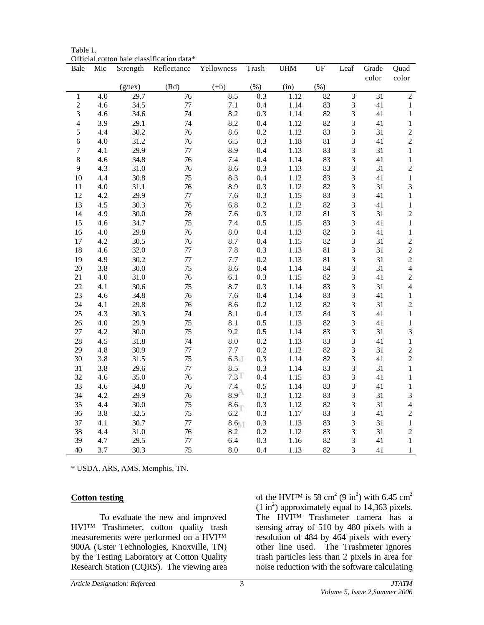|                |     |               | OTTICIAI CONON DAIC CHASSITICANON GANA |                |       |            |        |                         |                 |                |
|----------------|-----|---------------|----------------------------------------|----------------|-------|------------|--------|-------------------------|-----------------|----------------|
| Bale           | Mic | Strength      | Reflectance                            | Yellowness     | Trash | <b>UHM</b> | UF     | Leaf                    | Grade           | Quad           |
|                |     |               |                                        |                |       |            |        |                         | color           | color          |
|                |     | $(g$ /tex $)$ | (Rd)                                   | $(+b)$         | (% )  | (in)       | (% )   |                         |                 |                |
| $\mathbf 1$    | 4.0 | 29.7          | 76                                     | 8.5            | 0.3   | 1.12       | 82     | $\overline{3}$          | $\overline{31}$ | $\overline{2}$ |
| $\overline{c}$ | 4.6 | 34.5          | 77                                     | 7.1            | 0.4   | 1.14       | 83     | 3                       | 41              | $\,1\,$        |
| 3              | 4.6 | 34.6          | 74                                     | 8.2            | 0.3   | 1.14       | 82     | $\overline{\mathbf{3}}$ | 41              | $\,1\,$        |
| $\overline{4}$ | 3.9 | 29.1          | 74                                     | 8.2            | 0.4   | 1.12       | 82     | $\overline{\mathbf{3}}$ | 41              | $\,1\,$        |
| 5              | 4.4 | 30.2          | 76                                     | 8.6            | 0.2   | 1.12       | 83     | 3                       | 31              | $\frac{2}{2}$  |
| 6              | 4.0 | 31.2          | 76                                     | 6.5            | 0.3   | 1.18       | 81     | $\overline{\mathbf{3}}$ | 41              |                |
| $\overline{7}$ | 4.1 | 29.9          | 77                                     | 8.9            | 0.4   | 1.13       | 83     | $\overline{\mathbf{3}}$ | 31              | $\,1\,$        |
| 8              | 4.6 | 34.8          | 76                                     | 7.4            | 0.4   | 1.14       | 83     | $\overline{\mathbf{3}}$ | $41\,$          | $\,1\,$        |
| 9              | 4.3 | 31.0          | 76                                     | 8.6            | 0.3   | 1.13       | 83     | $\overline{\mathbf{3}}$ | 31              | $\overline{c}$ |
| 10             | 4.4 | 30.8          | 75                                     | 8.3            | 0.4   | 1.12       | 83     | $\overline{\mathbf{3}}$ | 41              | $\,1\,$        |
| 11             | 4.0 | 31.1          | 76                                     | 8.9            | 0.3   | 1.12       | 82     | $\overline{\mathbf{3}}$ | 31              | $\overline{3}$ |
| 12             | 4.2 | 29.9          | 77                                     | 7.6            | 0.3   | 1.15       | 83     | $\mathfrak{Z}$          | 41              | $\,1\,$        |
| 13             | 4.5 | 30.3          | 76                                     | 6.8            | 0.2   | 1.12       | 82     | $\overline{\mathbf{3}}$ | 41              | $\,1\,$        |
| 14             | 4.9 | 30.0          | 78                                     | 7.6            | 0.3   | $1.12\,$   | 81     | $\overline{\mathbf{3}}$ | 31              | $\overline{c}$ |
| 15             | 4.6 | 34.7          | 75                                     | 7.4            | 0.5   | 1.15       | 83     | $\overline{\mathbf{3}}$ | 41              | $\mathbf 1$    |
| 16             | 4.0 | 29.8          | 76                                     | 8.0            | 0.4   | 1.13       | 82     | 3                       | 41              | $\,1\,$        |
| 17             | 4.2 | 30.5          | 76                                     | 8.7            | 0.4   | 1.15       | 82     | $\overline{\mathbf{3}}$ | 31              | $\frac{2}{2}$  |
| 18             | 4.6 | 32.0          | 77                                     | 7.8            | 0.3   | 1.13       | 81     | $\overline{\mathbf{3}}$ | 31              |                |
| 19             | 4.9 | 30.2          | 77                                     | 7.7            | 0.2   | 1.13       | $81\,$ | $\overline{\mathbf{3}}$ | 31              | $\overline{c}$ |
| $20\,$         | 3.8 | 30.0          | 75                                     | 8.6            | 0.4   | 1.14       | 84     | $\overline{\mathbf{3}}$ | 31              | $\overline{4}$ |
| 21             | 4.0 | 31.0          | 76                                     | 6.1            | 0.3   | 1.15       | 82     | $\overline{\mathbf{3}}$ | 41              | $\overline{c}$ |
| 22             | 4.1 | 30.6          | 75                                     | 8.7            | 0.3   | 1.14       | 83     | $\overline{3}$          | 31              | $\overline{4}$ |
| 23             | 4.6 | 34.8          | 76                                     | 7.6            | 0.4   | 1.14       | 83     | $\mathfrak{Z}$          | 41              | $\,1\,$        |
| 24             | 4.1 | 29.8          | 76                                     | 8.6            | 0.2   | 1.12       | 82     | $\overline{\mathbf{3}}$ | 31              | $\overline{c}$ |
| 25             | 4.3 | 30.3          | 74                                     | 8.1            | 0.4   | 1.13       | 84     | $\overline{3}$          | 41              | $\,1$          |
| 26             | 4.0 | 29.9          | 75                                     | 8.1            | 0.5   | 1.13       | 82     | $\overline{\mathbf{3}}$ | 41              | $\,1\,$        |
| 27             | 4.2 | 30.0          | 75                                     | 9.2            | 0.5   | 1.14       | 83     | $\overline{\mathbf{3}}$ | 31              | 3              |
| 28             | 4.5 | 31.8          | 74                                     | 8.0            | 0.2   | 1.13       | 83     | $\overline{\mathbf{3}}$ | 41              | $\,1\,$        |
| 29             | 4.8 | 30.9          | 77                                     | 7.7            | 0.2   | 1.12       | 82     | $\overline{\mathbf{3}}$ | 31              | $\overline{c}$ |
| 30             | 3.8 | 31.5          | 75                                     | 6.3            | 0.3   | 1.14       | 82     | $\overline{\mathbf{3}}$ | 41              | $\overline{c}$ |
| 31             | 3.8 | 29.6          | 77                                     | 8.5            | 0.3   | 1.14       | 83     | $\overline{\mathbf{3}}$ | 31              | $\,1\,$        |
| 32             | 4.6 | 35.0          | 76                                     | 7.3            | 0.4   | 1.15       | 83     | $\overline{\mathbf{3}}$ | 41              | $\,1\,$        |
| 33             | 4.6 | 34.8          | 76                                     | $^{7.4}_{8.9}$ | 0.5   | 1.14       | 83     | $\overline{\mathbf{3}}$ | 41              | $\,1\,$        |
| 34             | 4.2 | 29.9          | 76                                     |                | 0.3   | 1.12       | 83     | 3                       | 31              | $\overline{3}$ |
| 35             | 4.4 | 30.0          | 75                                     | 8.6            | 0.3   | 1.12       | 82     | $\overline{\mathbf{3}}$ | 31              | $\overline{4}$ |
| 36             | 3.8 | 32.5          | 75                                     | 6.2            | 0.3   | $1.17\,$   | 83     | $\overline{\mathbf{3}}$ | 41              | $\overline{c}$ |
| 37             | 4.1 | 30.7          | 77                                     | 8.6            | 0.3   | 1.13       | 83     | $\overline{\mathbf{3}}$ | 31              | $\,1\,$        |
| 38             | 4.4 | 31.0          | 76                                     | 8.2            | 0.2   | $1.12\,$   | 83     | 3                       | 31              | $\overline{c}$ |
| 39             | 4.7 | 29.5          | 77                                     | 6.4            | 0.3   | 1.16       | 82     | $\overline{\mathbf{3}}$ | 41              | $\,1\,$        |
| 40             | 3.7 | 30.3          | 75                                     | 8.0            | 0.4   | 1.13       | 82     | 3                       | 41              | $\mathbf 1$    |

Table 1. Official cotton bale classification data\*

\* USDA, ARS, AMS, Memphis, TN.

### **Cotton testing**

To evaluate the new and improved HVI™ Trashmeter, cotton quality trash measurements were performed on a HVI<sup>™</sup> 900A (Uster Technologies, Knoxville, TN) by the Testing Laboratory at Cotton Quality Research Station (CQRS). The viewing area

of the HVI<sup>TM</sup> is 58 cm<sup>2</sup> (9 in<sup>2</sup>) with 6.45 cm<sup>2</sup>  $(1 \text{ in}^2)$  approximately equal to 14,363 pixels. The HVI™ Trashmeter camera has a sensing array of 510 by 480 pixels with a resolution of 484 by 464 pixels with every other line used. The Trashmeter ignores trash particles less than 2 pixels in area for noise reduction with the software calculating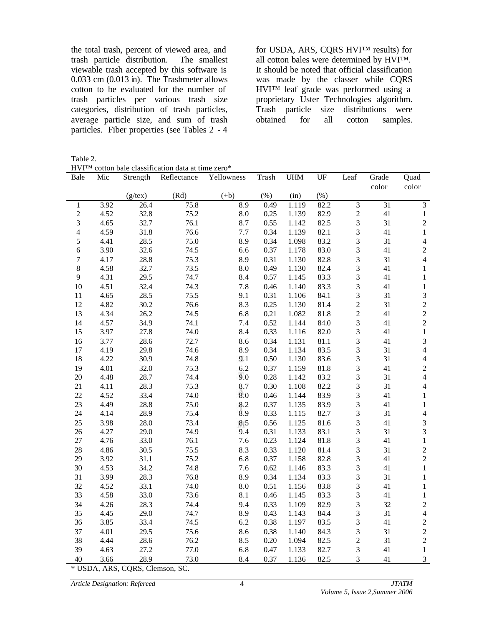the total trash, percent of viewed area, and trash particle distribution. The smallest viewable trash accepted by this software is  $0.033$  cm  $(0.013$  in). The Trashmeter allows cotton to be evaluated for the number of trash particles per various trash size categories, distribution of trash particles, average particle size, and sum of trash particles. Fiber properties (see Tables 2 - 4

for USDA, ARS, CQRS HVI™ results) for all cotton bales were determined by HVI™. It should be noted that official classification was made by the classer while CQRS HVI™ leaf grade was performed using a proprietary Uster Technologies algorithm. Trash particle size distributions were obtained for all cotton samples.

Table 2.

|                | HVITM cotton bale classification data at time zero* |            |             |                 |       |            |        |                         |                 |                          |
|----------------|-----------------------------------------------------|------------|-------------|-----------------|-------|------------|--------|-------------------------|-----------------|--------------------------|
| Bale           | Mic                                                 | Strength   | Reflectance | Yellowness      | Trash | <b>UHM</b> | UF     | Leaf                    | Grade           | Quad                     |
|                |                                                     |            |             |                 |       |            |        |                         | color           | color                    |
|                |                                                     | $(g$ /tex) | (Rd)        | $(+b)$          | (% )  | (in)       | $(\%)$ |                         |                 |                          |
| $\mathbf{1}$   | 3.92                                                | 26.4       | 75.8        | 8.9             | 0.49  | 1.119      | 82.2   | 3                       | $\overline{31}$ | $\overline{\mathbf{3}}$  |
| $\overline{c}$ | 4.52                                                | 32.8       | 75.2        | $\!\!\!\!\!8.0$ | 0.25  | 1.139      | 82.9   | $\overline{c}$          | 41              | $\,1\,$                  |
| 3              | 4.65                                                | 32.7       | 76.1        | 8.7             | 0.55  | 1.142      | 82.5   | 3                       | 31              | $\sqrt{2}$               |
| $\overline{4}$ | 4.59                                                | 31.8       | 76.6        | 7.7             | 0.34  | 1.139      | 82.1   | 3                       | 41              | $\,1\,$                  |
| $\sqrt{5}$     | 4.41                                                | 28.5       | 75.0        | 8.9             | 0.34  | 1.098      | 83.2   | 3                       | 31              | $\overline{\mathcal{L}}$ |
| 6              | 3.90                                                | 32.6       | 74.5        | 6.6             | 0.37  | 1.178      | 83.0   | 3                       | 41              | $\sqrt{2}$               |
| $\overline{7}$ | 4.17                                                | 28.8       | 75.3        | 8.9             | 0.31  | 1.130      | 82.8   | 3                       | 31              | $\overline{4}$           |
| $\,8\,$        | 4.58                                                | 32.7       | 73.5        | 8.0             | 0.49  | 1.130      | 82.4   | 3                       | 41              | $\,1$                    |
| $\mathbf{9}$   | 4.31                                                | 29.5       | 74.7        | 8.4             | 0.57  | 1.145      | 83.3   | 3                       | 41              | $\mathbf{1}$             |
| 10             | 4.51                                                | 32.4       | 74.3        | 7.8             | 0.46  | 1.140      | 83.3   | 3                       | 41              | $\,1$                    |
| 11             | 4.65                                                | 28.5       | 75.5        | 9.1             | 0.31  | 1.106      | 84.1   | 3                       | 31              | 3                        |
| 12             | 4.82                                                | 30.2       | 76.6        | 8.3             | 0.25  | 1.130      | 81.4   | $\overline{c}$          | 31              | $\overline{c}$           |
| 13             | 4.34                                                | 26.2       | 74.5        | 6.8             | 0.21  | 1.082      | 81.8   | $\overline{c}$          | 41              | $\overline{c}$           |
| 14             | 4.57                                                | 34.9       | 74.1        | 7.4             | 0.52  | 1.144      | 84.0   | 3                       | 41              | $\overline{c}$           |
| 15             | 3.97                                                | 27.8       | 74.0        | 8.4             | 0.33  | 1.116      | 82.0   | 3                       | 41              | $\,1$                    |
| 16             | 3.77                                                | 28.6       | 72.7        | 8.6             | 0.34  | 1.131      | 81.1   | 3                       | 41              | 3                        |
| 17             | 4.19                                                | 29.8       | 74.6        | 8.9             | 0.34  | 1.134      | 83.5   | 3                       | 31              | $\overline{4}$           |
| 18             | 4.22                                                | 30.9       | 74.8        | 9.1             | 0.50  | 1.130      | 83.6   | 3                       | 31              | $\overline{\mathcal{L}}$ |
| 19             | 4.01                                                | 32.0       | 75.3        | 6.2             | 0.37  | 1.159      | 81.8   | 3                       | 41              | $\overline{c}$           |
| 20             | 4.48                                                | 28.7       | 74.4        | 9.0             | 0.28  | 1.142      | 83.2   | 3                       | 31              | $\overline{4}$           |
| 21             | 4.11                                                | 28.3       | 75.3        | 8.7             | 0.30  | 1.108      | 82.2   | 3                       | 31              | $\overline{\mathcal{L}}$ |
| 22             | 4.52                                                | 33.4       | 74.0        | 8.0             | 0.46  | 1.144      | 83.9   | $\overline{\mathbf{3}}$ | 41              | $\,1$                    |
| 23             | 4.49                                                | 28.8       | 75.0        | 8.2             | 0.37  | 1.135      | 83.9   | 3                       | 41              | $\mathbf{1}$             |
| 24             | 4.14                                                | 28.9       | 75.4        | 8.9             | 0.33  | 1.115      | 82.7   | 3                       | 31              | $\overline{\mathcal{L}}$ |
| 25             | 3.98                                                | 28.0       | 73.4        | 8.5             | 0.56  | 1.125      | 81.6   | 3                       | 41              | 3                        |
| 26             | 4.27                                                | 29.0       | 74.9        | 9.4             | 0.31  | 1.133      | 83.1   | 3                       | 31              | 3                        |
| 27             | 4.76                                                | 33.0       | 76.1        | 7.6             | 0.23  | 1.124      | 81.8   | 3                       | 41              | $\,1$                    |
| 28             | 4.86                                                | 30.5       | 75.5        | 8.3             | 0.33  | 1.120      | 81.4   | 3                       | 31              | $\overline{c}$           |
| 29             | 3.92                                                | 31.1       | 75.2        | 6.8             | 0.37  | 1.158      | 82.8   | 3                       | 41              | $\overline{c}$           |
| 30             | 4.53                                                | 34.2       | 74.8        | 7.6             | 0.62  | 1.146      | 83.3   | 3                       | 41              | $\,1$                    |
| 31             | 3.99                                                | 28.3       | 76.8        | 8.9             | 0.34  | 1.134      | 83.3   | 3                       | 31              | $\,1$                    |
| 32             | 4.52                                                | 33.1       | 74.0        | 8.0             | 0.51  | 1.156      | 83.8   | 3                       | 41              | $\,1$                    |
| 33             | 4.58                                                | 33.0       | 73.6        | 8.1             | 0.46  | 1.145      | 83.3   | 3                       | 41              | $\,1$                    |
| 34             | 4.26                                                | 28.3       | 74.4        | 9.4             | 0.33  | 1.109      | 82.9   | 3                       | 32              | $\overline{c}$           |
| 35             | 4.45                                                | 29.0       | 74.7        | 8.9             | 0.43  | 1.143      | 84.4   | 3                       | 31              | $\overline{4}$           |
| 36             | 3.85                                                | 33.4       | 74.5        | 6.2             | 0.38  | 1.197      | 83.5   | 3                       | 41              | $\overline{c}$           |
| 37             | 4.01                                                | 29.5       | 75.6        | 8.6             | 0.38  | 1.140      | 84.3   | 3                       | 31              | $\overline{c}$           |
| 38             | 4.44                                                | 28.6       | 76.2        | 8.5             | 0.20  | 1.094      | 82.5   | $\overline{c}$          | 31              | $\sqrt{2}$               |
| 39             | 4.63                                                | 27.2       | 77.0        | 6.8             | 0.47  | 1.133      | 82.7   | 3                       | 41              | $\,1$                    |
| 40             | 3.66                                                | 28.9       | 73.0        | 8.4             | 0.37  | 1.136      | 82.5   | 3                       | 41              | 3                        |
|                |                                                     |            |             |                 |       |            |        |                         |                 |                          |

\* USDA, ARS, CQRS, Clemson, SC.

*Article Designation: Refereed JTATM*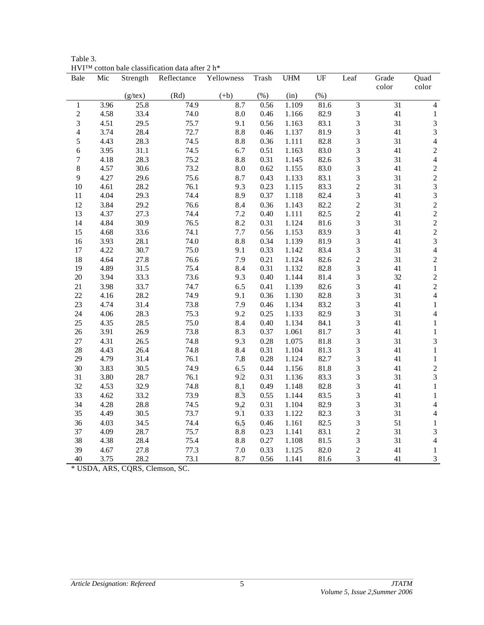| Bale             | Mic  | Strength | $\alpha$ and $\alpha$ chassification data after $\alpha$ in<br>Reflectance | Yellowness | Trash    | $\ensuremath{\mathrm{UHM}}$ | UF     | Leaf           | Grade<br>color | Quad<br>color               |
|------------------|------|----------|----------------------------------------------------------------------------|------------|----------|-----------------------------|--------|----------------|----------------|-----------------------------|
|                  |      | (g/tex)  | (Rd)                                                                       | $(+b)$     | (% )     | (in)                        | $(\%)$ |                |                |                             |
| $\mathbf 1$      | 3.96 | 25.8     | 74.9                                                                       | 8.7        | 0.56     | 1.109                       | 81.6   | 3              | 31             | $\overline{4}$              |
| $\sqrt{2}$       | 4.58 | 33.4     | 74.0                                                                       | 8.0        | 0.46     | 1.166                       | 82.9   | $\mathfrak{Z}$ | 41             | $\mathbf{1}$                |
| $\mathfrak{Z}$   | 4.51 | 29.5     | 75.7                                                                       | 9.1        | 0.56     | 1.163                       | 83.1   | 3              | 31             | $\mathfrak{Z}$              |
| $\overline{4}$   | 3.74 | 28.4     | 72.7                                                                       | 8.8        | 0.46     | 1.137                       | 81.9   | 3              | 41             | $\mathfrak{Z}$              |
| $\mathfrak s$    | 4.43 | 28.3     | 74.5                                                                       | 8.8        | 0.36     | 1.111                       | 82.8   | 3              | 31             | $\overline{4}$              |
| 6                | 3.95 | 31.1     | 74.5                                                                       | 6.7        | 0.51     | 1.163                       | 83.0   | 3              | 41             | $\overline{c}$              |
| $\boldsymbol{7}$ | 4.18 | 28.3     | 75.2                                                                       | 8.8        | 0.31     | 1.145                       | 82.6   | 3              | 31             | $\overline{\mathbf{4}}$     |
| $\,8\,$          | 4.57 | 30.6     | 73.2                                                                       | 8.0        | 0.62     | 1.155                       | 83.0   | 3              | 41             | $\overline{c}$              |
| 9                | 4.27 | 29.6     | 75.6                                                                       | 8.7        | 0.43     | 1.133                       | 83.1   | 3              | 31             | $\overline{c}$              |
| 10               | 4.61 | 28.2     | 76.1                                                                       | 9.3        | 0.23     | 1.115                       | 83.3   | $\sqrt{2}$     | 31             | $\overline{3}$              |
| 11               | 4.04 | 29.3     | 74.4                                                                       | 8.9        | 0.37     | 1.118                       | 82.4   | 3              | 41             | $\overline{3}$              |
| 12               | 3.84 | 29.2     | 76.6                                                                       | 8.4        | 0.36     | 1.143                       | 82.2   | $\overline{c}$ | 31             | $\overline{c}$              |
| 13               | 4.37 | 27.3     | 74.4                                                                       | 7.2        | 0.40     | 1.111                       | 82.5   | $\overline{c}$ | 41             | $\overline{c}$              |
| 14               | 4.84 | 30.9     | 76.5                                                                       | 8.2        | 0.31     | 1.124                       | 81.6   | 3              | 31             | $\overline{c}$              |
| 15               | 4.68 | 33.6     | 74.1                                                                       | 7.7        | 0.56     | 1.153                       | 83.9   | 3              | 41             | $\frac{2}{3}$               |
| 16               | 3.93 | 28.1     | 74.0                                                                       | 8.8        | 0.34     | 1.139                       | 81.9   | 3              | 41             |                             |
| $17\,$           | 4.22 | 30.7     | 75.0                                                                       | 9.1        | 0.33     | 1.142                       | 83.4   | 3              | 31             | $\overline{\mathbf{4}}$     |
| 18               | 4.64 | 27.8     | 76.6                                                                       | 7.9        | 0.21     | 1.124                       | 82.6   | $\overline{c}$ | 31             | $\overline{c}$              |
| 19               | 4.89 | 31.5     | 75.4                                                                       | 8.4        | 0.31     | 1.132                       | 82.8   | 3              | 41             | $\,1\,$                     |
| 20               | 3.94 | 33.3     | 73.6                                                                       | 9.3        | 0.40     | 1.144                       | 81.4   | 3              | 32             | $\overline{c}$              |
| 21               | 3.98 | 33.7     | 74.7                                                                       | 6.5        | 0.41     | 1.139                       | 82.6   | 3              | 41             | $\overline{c}$              |
| 22               | 4.16 | 28.2     | 74.9                                                                       | 9.1        | 0.36     | 1.130                       | 82.8   | 3              | 31             | $\overline{\mathbf{4}}$     |
| 23               | 4.74 | 31.4     | 73.8                                                                       | 7.9        | 0.46     | 1.134                       | 83.2   | 3              | 41             | $\,1\,$                     |
| 24               | 4.06 | 28.3     | 75.3                                                                       | 9.2        | 0.25     | 1.133                       | 82.9   | 3              | 31             | $\overline{4}$              |
| 25               | 4.35 | 28.5     | 75.0                                                                       | 8.4        | 0.40     | 1.134                       | 84.1   | 3              | 41             | $\,1$                       |
| 26               | 3.91 | 26.9     | 73.8                                                                       | 8.3        | 0.37     | 1.061                       | 81.7   | 3              | 41             | $\,1\,$                     |
| 27               | 4.31 | 26.5     | 74.8                                                                       | 9.3        | 0.28     | 1.075                       | 81.8   | 3              | 31             | $\mathfrak{Z}$              |
| 28               | 4.43 | 26.4     | 74.8                                                                       | 8.4        | 0.31     | 1.104                       | 81.3   | 3              | 41             | $\,1$                       |
| 29               | 4.79 | 31.4     | 76.1                                                                       | 7.8        | 0.28     | 1.124                       | 82.7   | 3              | 41             | $\,1$                       |
| 30               | 3.83 | 30.5     | 74.9                                                                       | 6.5        | 0.44     | 1.156                       | 81.8   | 3              | 41             | $\overline{c}$              |
| 31               | 3.80 | 28.7     | 76.1                                                                       | 9.2        | 0.31     | 1.136                       | 83.3   | 3              | 31             | $\overline{3}$              |
| 32               | 4.53 | 32.9     | 74.8                                                                       | 8.1        | 0.49     | 1.148                       | 82.8   | 3              | 41             | $\,1\,$                     |
| 33               | 4.62 | 33.2     | 73.9                                                                       | 8.3        | 0.55     | 1.144                       | 83.5   | 3              | 41             | $\,1\,$                     |
| 34               | 4.28 | 28.8     | 74.5                                                                       | 9.2        | 0.31     | 1.104                       | 82.9   | 3              | 31             | $\overline{4}$              |
| 35               | 4.49 | 30.5     | 73.7                                                                       | 9.1        | 0.33     | 1.122                       | 82.3   | 3              | 31             | $\overline{4}$              |
| 36               | 4.03 | 34.5     | 74.4                                                                       | 6.5        | 0.46     | 1.161                       | 82.5   | 3              | 51             | $\,1\,$                     |
| 37               | 4.09 | 28.7     | 75.7                                                                       | 8.8        | 0.23     | 1.141                       | 83.1   | $\overline{c}$ | 31             | $\mathfrak{Z}$              |
| 38               | 4.38 | 28.4     | 75.4                                                                       | 8.8        | $0.27\,$ | 1.108                       | 81.5   | 3              | 31             | $\overline{4}$              |
| 39               | 4.67 | 27.8     | 77.3                                                                       | 7.0        | 0.33     | 1.125                       | 82.0   | $\overline{c}$ | 41             | $\mathbf 1$                 |
| 40               | 3.75 | 28.2     | 73.1                                                                       | 8.7        | 0.56     | 1.141                       | 81.6   | 3              | 41             | $\ensuremath{\mathfrak{Z}}$ |

Table 3.  $HVI^{TM}$  cotton bale classification data after 2 h<sup>\*</sup>

\* USDA, ARS, CQRS, Clemson, SC.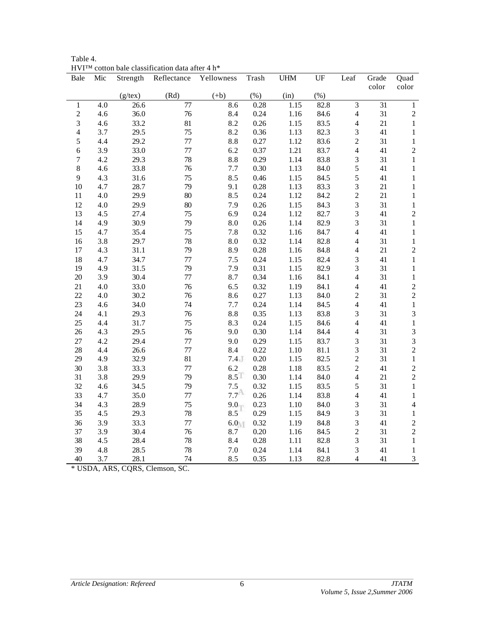| 11 V 1<br>Bale   | Mic   | Strength      | $\mathcal{L}$ onon baic chassification data arter $\pm$ if<br>Reflectance | Yellowness         | Trash    | <b>UHM</b> | UF      | Leaf                    | Grade           | Quad                                  |
|------------------|-------|---------------|---------------------------------------------------------------------------|--------------------|----------|------------|---------|-------------------------|-----------------|---------------------------------------|
|                  |       |               |                                                                           |                    |          |            |         |                         | color           | color                                 |
|                  |       | $(g$ /tex $)$ | (Rd)                                                                      | $(+b)$             | (% )     | (in)       | $(\% )$ |                         |                 |                                       |
| $\mathbf 1$      | 4.0   | 26.6          | $\overline{77}$                                                           | 8.6                | 0.28     | 1.15       | 82.8    | 3                       | $\overline{31}$ | $\mathbf{1}$                          |
| $\overline{c}$   | 4.6   | 36.0          | 76                                                                        | 8.4                | 0.24     | 1.16       | 84.6    | $\overline{\mathbf{4}}$ | 31              | $\overline{c}$                        |
| $\overline{3}$   | 4.6   | 33.2          | 81                                                                        | 8.2                | 0.26     | 1.15       | 83.5    | $\overline{\mathbf{4}}$ | 21              | $\,1$                                 |
| $\overline{4}$   | 3.7   | 29.5          | 75                                                                        | 8.2                | 0.36     | 1.13       | 82.3    | 3                       | 41              | $\,1$                                 |
| 5                | 4.4   | 29.2          | $77\,$                                                                    | 8.8                | 0.27     | 1.12       | 83.6    | $\overline{c}$          | 31              | $\,1$                                 |
| 6                | 3.9   | 33.0          | 77                                                                        | 6.2                | 0.37     | 1.21       | 83.7    | $\overline{\mathbf{4}}$ | 41              | $\overline{c}$                        |
| $\boldsymbol{7}$ | 4.2   | 29.3          | 78                                                                        | $8.8\,$            | 0.29     | 1.14       | 83.8    | 3                       | 31              | $\,1\,$                               |
| 8                | 4.6   | 33.8          | 76                                                                        | $7.7\,$            | 0.30     | 1.13       | 84.0    | 5                       | 41              | $\,1$                                 |
| 9                | 4.3   | 31.6          | 75                                                                        | 8.5                | 0.46     | 1.15       | 84.5    | 5                       | 41              | $\,1$                                 |
| 10               | 4.7   | 28.7          | 79                                                                        | 9.1                | $0.28\,$ | 1.13       | 83.3    | $\overline{\mathbf{3}}$ | 21              | $\,1$                                 |
| 11               | $4.0$ | 29.9          | 80                                                                        | 8.5                | 0.24     | 1.12       | 84.2    | $\overline{c}$          | 21              | $\,1$                                 |
| 12               | 4.0   | 29.9          | 80                                                                        | 7.9                | 0.26     | 1.15       | 84.3    | 3                       | 31              | $\,1$                                 |
| 13               | 4.5   | 27.4          | 75                                                                        | 6.9                | 0.24     | 1.12       | 82.7    | $\overline{\mathbf{3}}$ | 41              | $\overline{c}$                        |
| 14               | 4.9   | 30.9          | 79                                                                        | $\ \, 8.0$         | 0.26     | 1.14       | 82.9    | 3                       | 31              | $\,1\,$                               |
| 15               | 4.7   | 35.4          | 75                                                                        | $7.8\,$            | 0.32     | 1.16       | 84.7    | $\overline{\mathbf{4}}$ | 41              | $\,1$                                 |
| 16               | 3.8   | 29.7          | 78                                                                        | 8.0                | 0.32     | 1.14       | 82.8    | $\overline{4}$          | 31              | $\,1$                                 |
| 17               | 4.3   | 31.1          | 79                                                                        | 8.9                | 0.28     | 1.16       | 84.8    | $\overline{\mathbf{4}}$ | 21              | $\overline{c}$                        |
| 18               | 4.7   | 34.7          | 77                                                                        | 7.5                | 0.24     | 1.15       | 82.4    | 3                       | 41              | $\,1$                                 |
| 19               | 4.9   | 31.5          | 79                                                                        | 7.9                | 0.31     | 1.15       | 82.9    | 3                       | 31              | $\,1$                                 |
| $20\,$           | 3.9   | 30.4          | 77                                                                        | 8.7                | 0.34     | 1.16       | 84.1    | $\overline{\mathbf{4}}$ | 31              | $\,1$                                 |
| 21               | 4.0   | 33.0          | 76                                                                        | 6.5                | 0.32     | 1.19       | 84.1    | $\overline{\mathbf{4}}$ | 41              | $\overline{\mathbf{c}}$               |
| 22               | 4.0   | 30.2          | 76                                                                        | 8.6                | 0.27     | 1.13       | 84.0    | $\overline{\mathbf{c}}$ | 31              | $\begin{array}{c} 2 \\ 1 \end{array}$ |
| 23               | 4.6   | 34.0          | 74                                                                        | 7.7                | 0.24     | 1.14       | 84.5    | $\overline{4}$          | 41              |                                       |
| 24               | 4.1   | 29.3          | 76                                                                        | $8.8\,$            | 0.35     | 1.13       | 83.8    | 3                       | 31              | $\overline{\mathbf{3}}$               |
| 25               | 4.4   | 31.7          | 75                                                                        | 8.3                | 0.24     | 1.15       | 84.6    | $\overline{\mathbf{4}}$ | 41              | $\,1$                                 |
| 26               | 4.3   | 29.5          | 76                                                                        | 9.0                | 0.30     | 1.14       | 84.4    | $\overline{\mathbf{4}}$ | 31              | 3                                     |
| 27               | 4.2   | 29.4          | 77                                                                        | 9.0                | 0.29     | 1.15       | 83.7    | 3                       | 31              | $\overline{\mathbf{3}}$               |
| 28               | 4.4   | 26.6          | 77                                                                        | 8.4                | 0.22     | 1.10       | 81.1    | $\overline{\mathbf{3}}$ | 31              | $\overline{c}$                        |
| 29               | 4.9   | 32.9          | 81                                                                        | 7.4                | 0.20     | 1.15       | 82.5    | $\overline{c}$          | 31              | $\,1$                                 |
| 30               | 3.8   | 33.3          | $77\,$                                                                    | 6.2                | 0.28     | 1.18       | 83.5    | $\overline{c}$          | 41              | $\frac{2}{2}$                         |
| 31               | 3.8   | 29.9          | 79                                                                        | $8.5$ <sup>T</sup> | 0.30     | 1.14       | 84.0    | $\overline{4}$          | 21              |                                       |
| 32               | 4.6   | 34.5          | 79                                                                        | 7.5                | 0.32     | 1.15       | 83.5    | 5                       | 31              | $\,1$                                 |
| 33               | 4.7   | 35.0          | 77                                                                        | $7.7^{\mathbb{A}}$ | 0.26     | 1.14       | 83.8    | $\overline{\mathbf{4}}$ | 41              | $\,1$                                 |
| 34               | 4.3   | 28.9          | 75                                                                        | $9.0 -$            | 0.23     | 1.10       | 84.0    | 3                       | 31              | $\overline{4}$                        |
| 35               | 4.5   | 29.3          | 78                                                                        | 8.5                | 0.29     | 1.15       | 84.9    | 3                       | 31              | $\,1$                                 |
| 36               | 3.9   | 33.3          | 77                                                                        | 6.0                | 0.32     | 1.19       | 84.8    | 3                       | 41              | $\frac{2}{2}$                         |
| 37               | 3.9   | 30.4          | 76                                                                        | 8.7                | 0.20     | 1.16       | 84.5    | $\overline{c}$          | 31              |                                       |
| 38               | 4.5   | 28.4          | 78                                                                        | 8.4                | $0.28\,$ | 1.11       | 82.8    | 3                       | 31              | $\,1$                                 |
| 39               | 4.8   | 28.5          | 78                                                                        | $7.0\,$            | 0.24     | 1.14       | 84.1    | 3                       | 41              | $\,1$                                 |
| 40               | 3.7   | 28.1          | 74                                                                        | 8.5                | 0.35     | 1.13       | 82.8    | 4                       | 41              | $\mathfrak{Z}$                        |

Table 4.  $HVI^{TM}$  cotton bale classification data after 4 h<sup>\*</sup>

\* USDA, ARS, CQRS, Clemson, SC.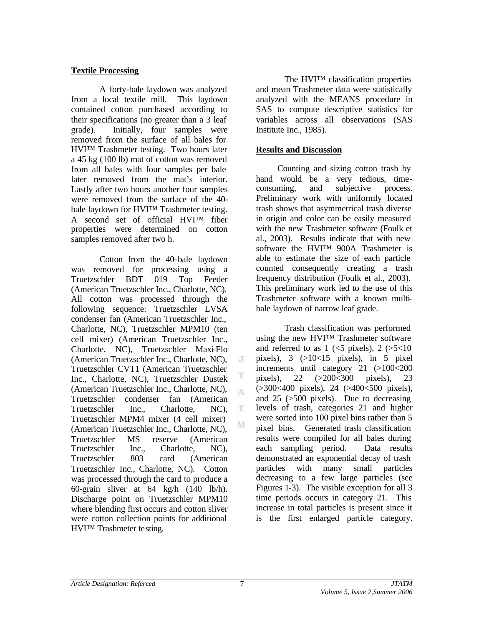## **Textile Processing**

A forty-bale laydown was analyzed from a local textile mill. This laydown contained cotton purchased according to their specifications (no greater than a 3 leaf grade). Initially, four samples were removed from the surface of all bales for HVI™ Trashmeter testing. Two hours later a 45 kg (100 lb) mat of cotton was removed from all bales with four samples per bale later removed from the mat's interior. Lastly after two hours another four samples were removed from the surface of the 40 bale laydown for HVI™ Trashmeter testing. A second set of official HVI™ fiber properties were determined on cotton samples removed after two h.

Cotton from the 40-bale laydown was removed for processing using a Truetzschler BDT 019 Top Feeder (American Truetzschler Inc., Charlotte, NC). All cotton was processed through the following sequence: Truetzschler LVSA condenser fan (American Truetzschler Inc., Charlotte, NC), Truetzschler MPM10 (ten cell mixer) (American Truetzschler Inc., Charlotte, NC), Truetzschler Maxi-Flo (American Truetzschler Inc., Charlotte, NC), Truetzschler CVT1 (American Truetzschler Inc., Charlotte, NC), Truetzschler Dustek (American Truetzschler Inc., Charlotte, NC), Truetzschler condenser fan (American Truetzschler Inc., Charlotte, NC), Truetzschler MPM4 mixer (4 cell mixer) (American Truetzschler Inc., Charlotte, NC), Truetzschler MS reserve (American Truetzschler Inc., Charlotte, NC), Truetzschler 803 card (American Truetzschler Inc., Charlotte, NC). Cotton was processed through the card to produce a 60-grain sliver at 64 kg/h (140 lb/h). Discharge point on Truetzschler MPM10 where blending first occurs and cotton sliver were cotton collection points for additional HVI™ Trashmeter te sting.

The HVI™ classification properties and mean Trashmeter data were statistically analyzed with the MEANS procedure in SAS to compute descriptive statistics for variables across all observations (SAS Institute Inc., 1985).

# **Results and Discussion**

Counting and sizing cotton trash by hand would be a very tedious, timeconsuming, and subjective process. Preliminary work with uniformly located trash shows that asymmetrical trash diverse in origin and color can be easily measured with the new Trashmeter software (Foulk et al., 2003). Results indicate that with new software the HVI™ 900A Trashmeter is able to estimate the size of each particle counted consequently creating a trash frequency distribution (Foulk et al., 2003). This preliminary work led to the use of this Trashmeter software with a known multibale laydown of narrow leaf grade.

Trash classification was performed using the new HVI™ Trashmeter software and referred to as  $1 \le 5$  pixels),  $2 \le 5 < 10$ pixels), 3 (>10<15 pixels), in 5 pixel increments until category 21 (>100<200 pixels), 22 (>200<300 pixels), 23 (>300<400 pixels), 24 (>400<500 pixels), and 25 (>500 pixels). Due to decreasing levels of trash, categories 21 and higher were sorted into 100 pixel bins rather than 5 pixel bins. Generated trash classification results were compiled for all bales during each sampling period. Data results demonstrated an exponential decay of trash particles with many small particles decreasing to a few large particles (see Figures 1-3). The visible exception for all 3 time periods occurs in category 21. This increase in total particles is present since it is the first enlarged particle category.

J

T A

T M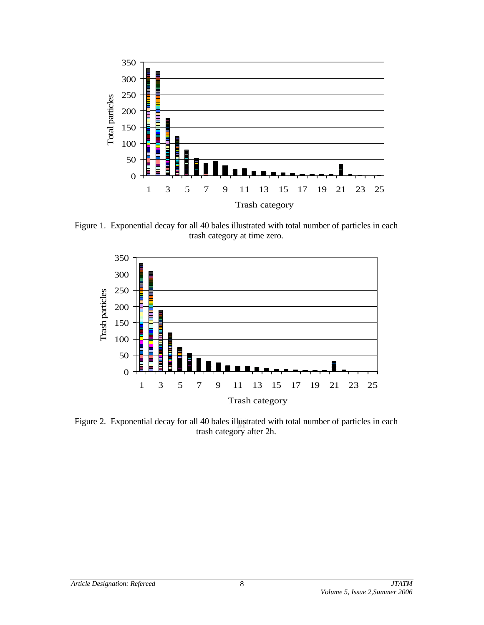

Figure 1. Exponential decay for all 40 bales illustrated with total number of particles in each trash category at time zero.



Figure 2. Exponential decay for all 40 bales illustrated with total number of particles in each trash category after 2h.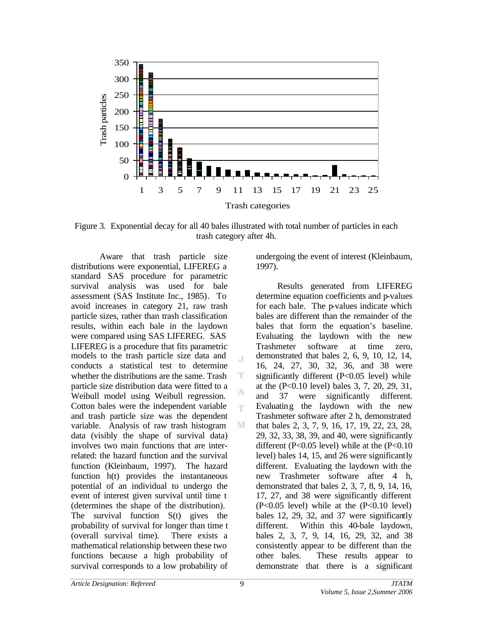

Figure 3. Exponential decay for all 40 bales illustrated with total number of particles in each trash category after 4h.

 $\cdot$ T

T

A m

M

Aware that trash particle size distributions were exponential, LIFEREG a standard SAS procedure for parametric survival analysis was used for bale assessment (SAS Institute Inc., 1985). To avoid increases in category 21, raw trash particle sizes, rather than trash classification results, within each bale in the laydown were compared using SAS LIFEREG. SAS LIFEREG is a procedure that fits parametric models to the trash particle size data and conducts a statistical test to determine whether the distributions are the same. Trash particle size distribution data were fitted to a Weibull model using Weibull regression. Cotton bales were the independent variable and trash particle size was the dependent variable. Analysis of raw trash histogram data (visibly the shape of survival data) involves two main functions that are interrelated: the hazard function and the survival function (Kleinbaum, 1997). The hazard function  $h(t)$  provides the instantaneous potential of an individual to undergo the event of interest given survival until time t (determines the shape of the distribution). The survival function S(t) gives the probability of survival for longer than time t (overall survival time). There exists a mathematical relationship between these two functions because a high probability of survival corresponds to a low probability of

undergoing the event of interest (Kleinbaum, 1997).

Results generated from LIFEREG determine equation coefficients and p-values for each bale. The p-values indicate which bales are different than the remainder of the bales that form the equation's baseline. Evaluating the laydown with the new Trashmeter software at time zero, demonstrated that bales 2, 6, 9, 10, 12, 14, 16, 24, 27, 30, 32, 36, and 38 were significantly different  $(P<0.05$  level) while at the (P<0.10 level) bales 3, 7, 20, 29, 31, and 37 were significantly different. Evaluating the laydown with the new Trashmeter software after 2 h, demonstrated that bales 2, 3, 7, 9, 16, 17, 19, 22, 23, 28, 29, 32, 33, 38, 39, and 40, were significantly different ( $P<0.05$  level) while at the ( $P<0.10$ ) level) bales 14, 15, and 26 were significantly different. Evaluating the laydown with the new Trashmeter software after 4 h, demonstrated that bales 2, 3, 7, 8, 9, 14, 16, 17, 27, and 38 were significantly different  $(P<0.05$  level) while at the  $(P<0.10$  level) bales 12, 29, 32, and 37 were significantly different. Within this 40-bale laydown, bales 2, 3, 7, 9, 14, 16, 29, 32, and 38 consistently appear to be different than the other bales. These results appear to demonstrate that there is a significant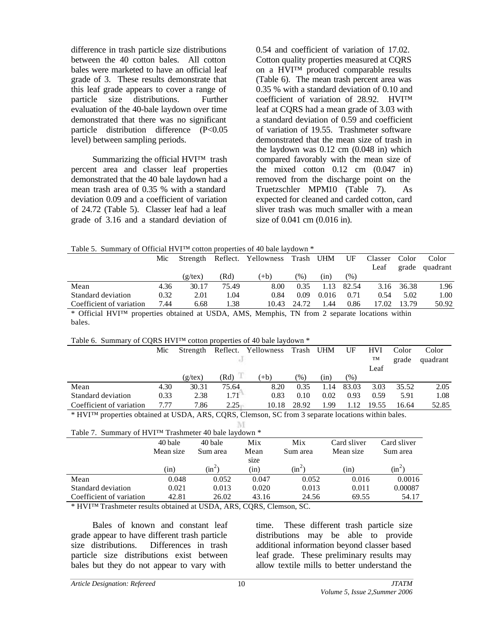difference in trash particle size distributions between the 40 cotton bales. All cotton bales were marketed to have an official leaf grade of 3. These results demonstrate that this leaf grade appears to cover a range of particle size distributions. Further evaluation of the 40-bale laydown over time demonstrated that there was no significant particle distribution difference (P<0.05 level) between sampling periods.

Summarizing the official HVI™ trash percent area and classer leaf properties demonstrated that the 40 bale laydown had a mean trash area of 0.35 % with a standard deviation 0.09 and a coefficient of variation of 24.72 (Table 5). Classer leaf had a leaf grade of 3.16 and a standard deviation of

0.54 and coefficient of variation of 17.02. Cotton quality properties measured at CQRS on a HVI™ produced comparable results (Table 6). The mean trash percent area was 0.35 % with a standard deviation of 0.10 and coefficient of variation of 28.92. HVI™ leaf at CQRS had a mean grade of 3.03 with a standard deviation of 0.59 and coefficient of variation of 19.55. Trashmeter software demonstrated that the mean size of trash in the laydown was 0.12 cm (0.048 in) which compared favorably with the mean size of the mixed cotton  $0.12$  cm  $(0.047 \text{ in})$ removed from the discharge point on the Truetzschler MPM10 (Table 7). As expected for cleaned and carded cotton, card sliver trash was much smaller with a mean size of 0.041 cm (0.016 in).

Table 5. Summary of Official HVI<sup>™</sup> cotton properties of 40 bale laydown  $*$ 

|                                                                                               | Mic  | Strength   |       | Reflect. Yellowness | Trash | UHM   | UF    | Classer | Color | Color    |
|-----------------------------------------------------------------------------------------------|------|------------|-------|---------------------|-------|-------|-------|---------|-------|----------|
|                                                                                               |      |            |       |                     |       |       |       | Leaf    | grade | quadrant |
|                                                                                               |      | $(g$ /tex) | (Rd   | $(+b)$              | (% )  | (in)  | (% )  |         |       |          |
| Mean                                                                                          | 4.36 | 30.17      | 75.49 | 8.00                | 0.35  | 1.13  | 82.54 | 3.16    | 36.38 | 1.96     |
| Standard deviation                                                                            | 0.32 | 2.01       | 1.04  | 0.84                | 0.09  | 0.016 | 0.71  | 0.54    | 5.02  | 1.00     |
| Coefficient of variation                                                                      | 7.44 | 6.68       | 1.38  | 10.43               | 24.72 | 1.44  | 0.86  | 17.02   | 13.79 | 50.92    |
| * Official HVIIM properties obtained at USDA AMS, Memphis TN from 2 separate locations within |      |            |       |                     |       |       |       |         |       |          |

 $\rm 100$  Difficial HVI<sup>™</sup> properties obtained at USDA, AMS, Memphis, TN from 2 separate locations within bales.

|  |  | Table 6. Summary of CQRS HVI™ cotton properties of 40 bale laydown * |
|--|--|----------------------------------------------------------------------|
|  |  |                                                                      |
|  |  |                                                                      |

|                          | Mic  | Strength   |       | Reflect. Yellowness | Trash UHM     |      | UF     | <b>HVI</b> | Color | Color    |
|--------------------------|------|------------|-------|---------------------|---------------|------|--------|------------|-------|----------|
|                          |      |            |       |                     |               |      |        | TM         | grade | quadrant |
|                          |      |            |       |                     |               |      |        | Leaf       |       |          |
|                          |      | $(g$ /tex) | (Rd)  | $(+b)$              | $\frac{1}{2}$ | (in) | $(\%)$ |            |       |          |
| Mean                     | 4.30 | 30.31      | 75.64 | 8.20                | 0.35          | 1.14 | 83.03  | 3.03       | 35.52 | 2.05     |
| Standard deviation       | 0.33 | 2.38       | 1.71  | 0.83                | 0.10          | 0.02 | 0.93   | 0.59       | 5.91  | 1.08     |
| Coefficient of variation | 7.77 | 7.86       | 2.25  | 10.18               | 28.92         | -99  | 1.12   | 19.55      | 16.64 | 52.85    |

\* HVI™ properties obtained at USDA, ARS, CQRS, Clemson, SC from 3 separate locations within bales. M

Table 7. Summary of HVI™ Trashmeter 40 bale laydown \*

| Table 7. Summary 01 IT VI <sup>-1</sup> Hashingter 40 bail laydown |           |          |       |          |             |             |
|--------------------------------------------------------------------|-----------|----------|-------|----------|-------------|-------------|
|                                                                    | 40 bale   | 40 bale  | Mix   | Mix      | Card sliver | Card sliver |
|                                                                    | Mean size | Sum area | Mean  | Sum area | Mean size   | Sum area    |
|                                                                    |           |          | size  |          |             |             |
|                                                                    | (1n)      | $\sin^2$ | (in)  | $(in^2)$ | (1n)        | $(in^2)$    |
| Mean                                                               | 0.048     | 0.052    | 0.047 | 0.052    | 0.016       | 0.0016      |
| Standard deviation                                                 | 0.021     | 0.013    | 0.020 | 0.013    | 0.011       | 0.00087     |
| Coefficient of variation                                           | 42.81     | 26.02    | 43.16 | 24.56    | 69.55       | 54.17       |
|                                                                    |           |          |       |          |             |             |

\* HVI™ Trashmeter results obtained at USDA, ARS, CQRS, Clemson, SC.

Bales of known and constant leaf grade appear to have different trash particle size distributions. Differences in trash particle size distributions exist between bales but they do not appear to vary with

time. These different trash particle size distributions may be able to provide additional information beyond classer based leaf grade. These preliminary results may allow textile mills to better understand the